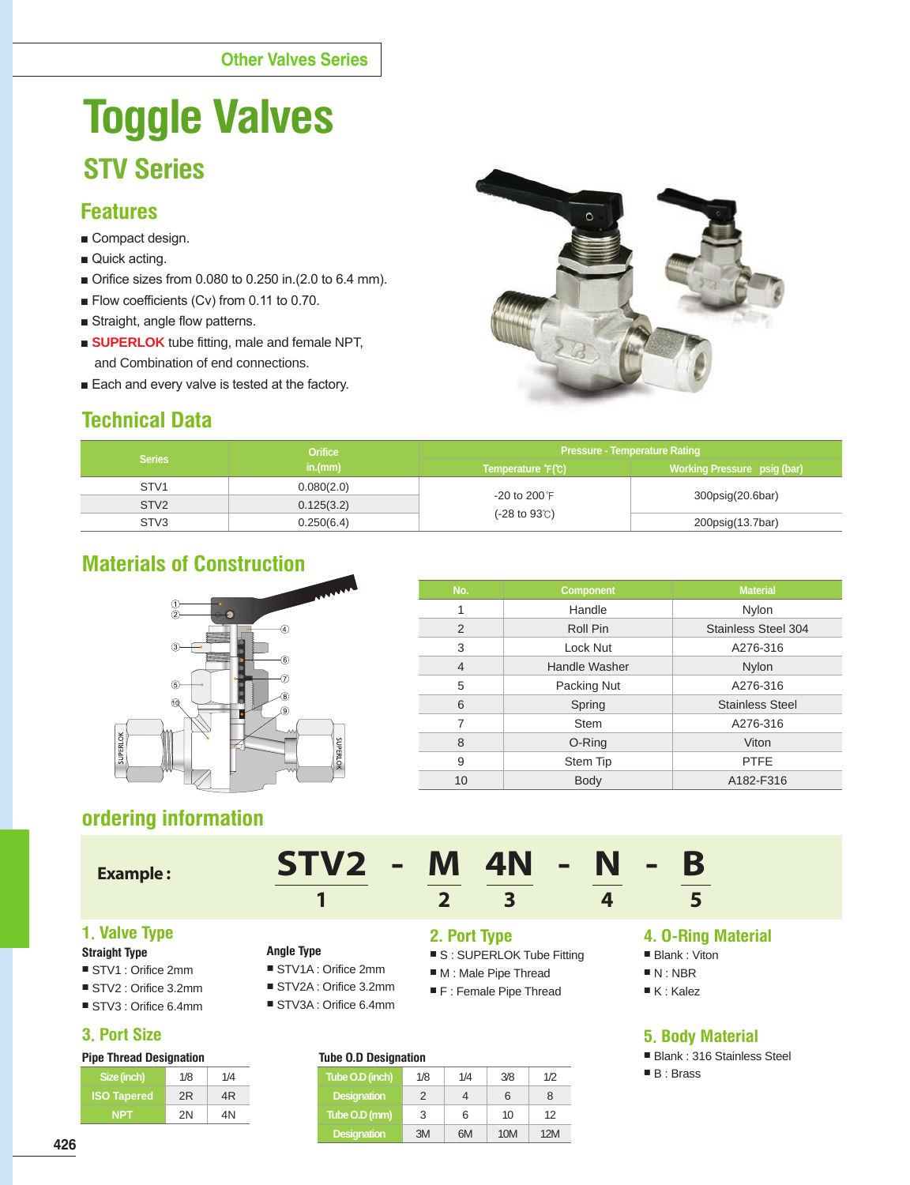# **Toggle Valves STV Series**

## **Features**

- Compact design.
- Quick acting.
- Orifice sizes from 0.080 to 0.250 in.(2.0 to 6.4 mm).
- Flow coefficients (Cv) from 0.11 to 0.70.
- Straight, angle flow patterns.
- **BUPERLOK** tube fitting, male and female NPT, and Combination of end connections.
- Each and every valve is tested at the factory.

# **Technical Data**



|                  | <b>Orifice</b> | <b>Pressure - Temperature Rating</b>   |                             |  |  |  |  |
|------------------|----------------|----------------------------------------|-----------------------------|--|--|--|--|
| <b>Series</b>    | in.(mm)        | Temperature F(°C)                      | Working Pressure psig (bar) |  |  |  |  |
| STV <sub>1</sub> | 0.080(2.0)     |                                        |                             |  |  |  |  |
| STV <sub>2</sub> | 0.125(3.2)     | $-20$ to $200$ F                       | 300psig(20.6bar)            |  |  |  |  |
| STV <sub>3</sub> | 0.250(6.4)     | $(-28 \text{ to } 93^{\circ}\text{C})$ | 200psig(13.7bar)            |  |  |  |  |

# **Materials of Construction**



| No.            | <b>Component</b>     | <b>Material</b>            |
|----------------|----------------------|----------------------------|
| 1              | Handle               | Nylon                      |
| 2              | Roll Pin             | <b>Stainless Steel 304</b> |
| 3              | Lock Nut             | A276-316                   |
| $\overline{4}$ | <b>Handle Washer</b> | Nylon                      |
| 5              | Packing Nut          | A276-316                   |
| 6              | Spring               | <b>Stainless Steel</b>     |
| 7              | <b>Stem</b>          | A276-316                   |
| 8              | O-Ring               | Viton                      |
| 9              | Stem Tip             | <b>PTFE</b>                |
| 10             | <b>Body</b>          | A182-F316                  |

# **ordering information**

## **Example :**

| $STV2 - M AN - N - B$ |  |  |  |  |  |  |
|-----------------------|--|--|--|--|--|--|
|-----------------------|--|--|--|--|--|--|

■ STV1A : Orifice 2mm

**Angle Type**

# **1 2 3 4 5**

## **1. Valve Type**

#### **Straight Type**

- STV1 : Orifice 2mm
- STV2 : Orifice 3.2mm
- STV3 : Orifice 6.4mm

## **3. Port Size**

| <b>Pipe Thread Designation</b> |  |
|--------------------------------|--|
|--------------------------------|--|

| Size (inch)        | 1/8 | 1/4 |
|--------------------|-----|-----|
| <b>ISO Tapered</b> | 2R  | 4R  |
| <b>NPT</b>         | 2N  | 4N  |

## **2. Port Type**

- S : SUPERLOK Tube Fitting
- M : Male Pipe Thread
- STV2A : Orifice 3.2mm ■ STV3A : Orifice 6.4mm ■ F : Female Pipe Thread

## **Tube O.D Designation**

| <b>IUDE OID DESIGNATION</b> |     |     |     |     |  |  |  |  |  |
|-----------------------------|-----|-----|-----|-----|--|--|--|--|--|
| Tube O.D (inch)             | 1/8 | 1/4 | 3/8 | 1/2 |  |  |  |  |  |
| <b>Designation</b>          | 2   | 4   | 6   | 8   |  |  |  |  |  |
| Tube O.D (mm)               | 3   | 6   | 10  | 12  |  |  |  |  |  |
| <b>Designation</b>          | 3M  | 6M  | 10M | 12M |  |  |  |  |  |

## **4. O-Ring Material**

- Blank : Viton
- N : NBR
- K : Kalez

## **5. Body Material**

- Blank : 316 Stainless Steel
- B : Brass